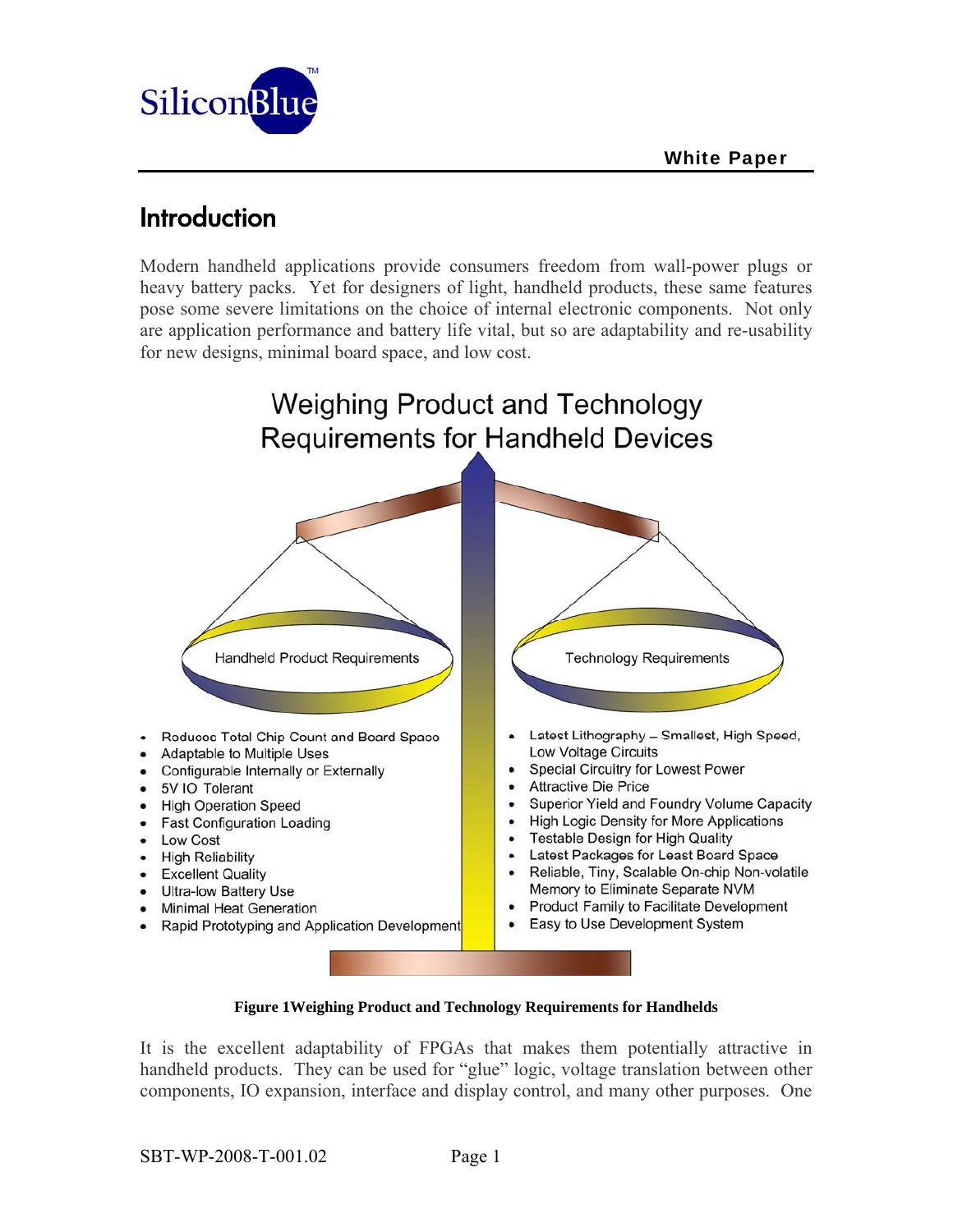

## Introduction

Modern handheld applications provide consumers freedom from wall-power plugs or heavy battery packs. Yet for designers of light, handheld products, these same features pose some severe limitations on the choice of internal electronic components. Not only are application performance and battery life vital, but so are adaptability and re-usability for new designs, minimal board space, and low cost.



#### **Figure 1Weighing Product and Technology Requirements for Handhelds**

It is the excellent adaptability of FPGAs that makes them potentially attractive in handheld products. They can be used for "glue" logic, voltage translation between other components, IO expansion, interface and display control, and many other purposes. One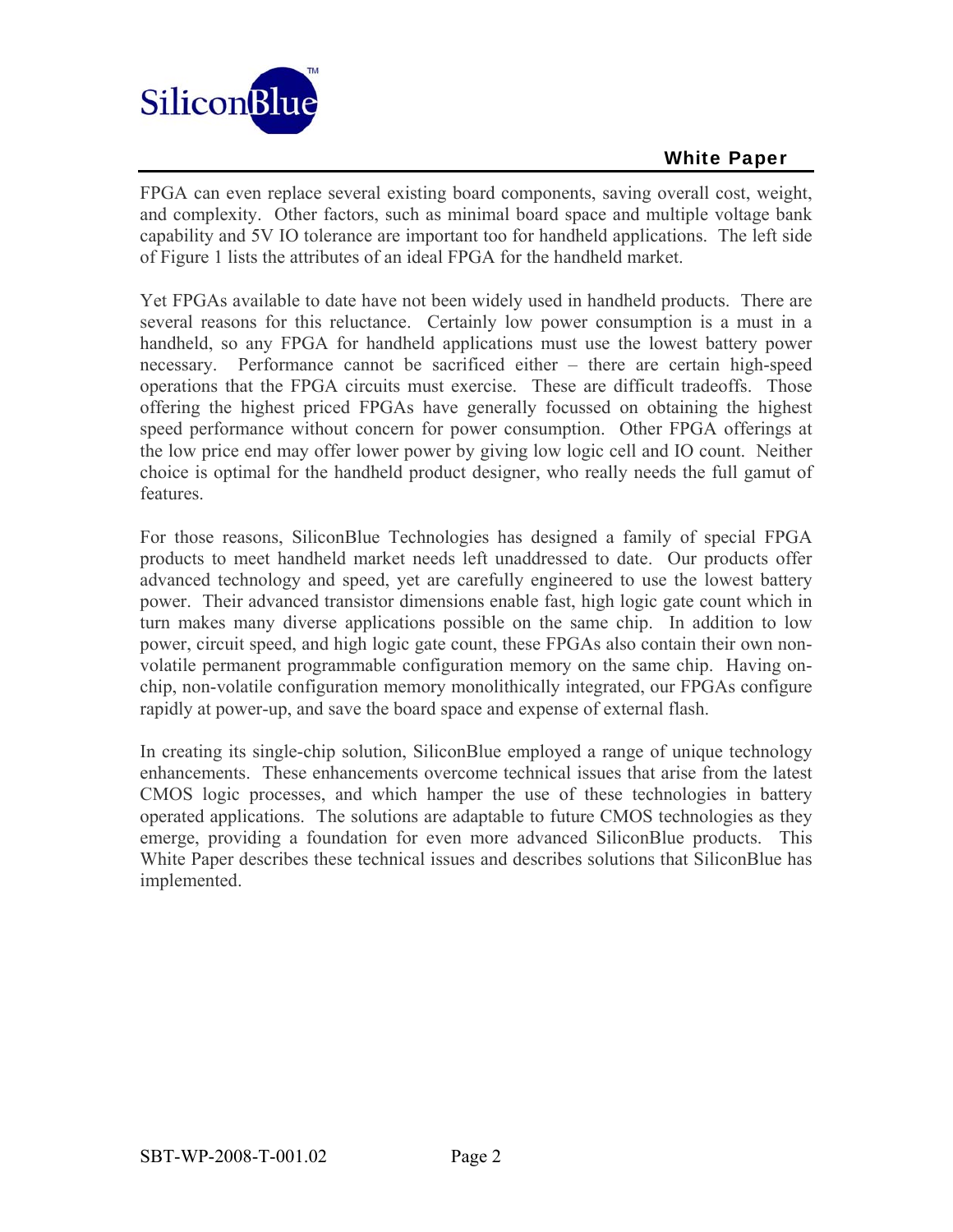

FPGA can even replace several existing board components, saving overall cost, weight, and complexity. Other factors, such as minimal board space and multiple voltage bank capability and 5V IO tolerance are important too for handheld applications. The left side of Figure 1 lists the attributes of an ideal FPGA for the handheld market.

Yet FPGAs available to date have not been widely used in handheld products. There are several reasons for this reluctance. Certainly low power consumption is a must in a handheld, so any FPGA for handheld applications must use the lowest battery power necessary. Performance cannot be sacrificed either – there are certain high-speed operations that the FPGA circuits must exercise. These are difficult tradeoffs. Those offering the highest priced FPGAs have generally focussed on obtaining the highest speed performance without concern for power consumption. Other FPGA offerings at the low price end may offer lower power by giving low logic cell and IO count. Neither choice is optimal for the handheld product designer, who really needs the full gamut of features.

For those reasons, SiliconBlue Technologies has designed a family of special FPGA products to meet handheld market needs left unaddressed to date. Our products offer advanced technology and speed, yet are carefully engineered to use the lowest battery power. Their advanced transistor dimensions enable fast, high logic gate count which in turn makes many diverse applications possible on the same chip. In addition to low power, circuit speed, and high logic gate count, these FPGAs also contain their own nonvolatile permanent programmable configuration memory on the same chip. Having onchip, non-volatile configuration memory monolithically integrated, our FPGAs configure rapidly at power-up, and save the board space and expense of external flash.

In creating its single-chip solution, SiliconBlue employed a range of unique technology enhancements. These enhancements overcome technical issues that arise from the latest CMOS logic processes, and which hamper the use of these technologies in battery operated applications. The solutions are adaptable to future CMOS technologies as they emerge, providing a foundation for even more advanced SiliconBlue products. This White Paper describes these technical issues and describes solutions that SiliconBlue has implemented.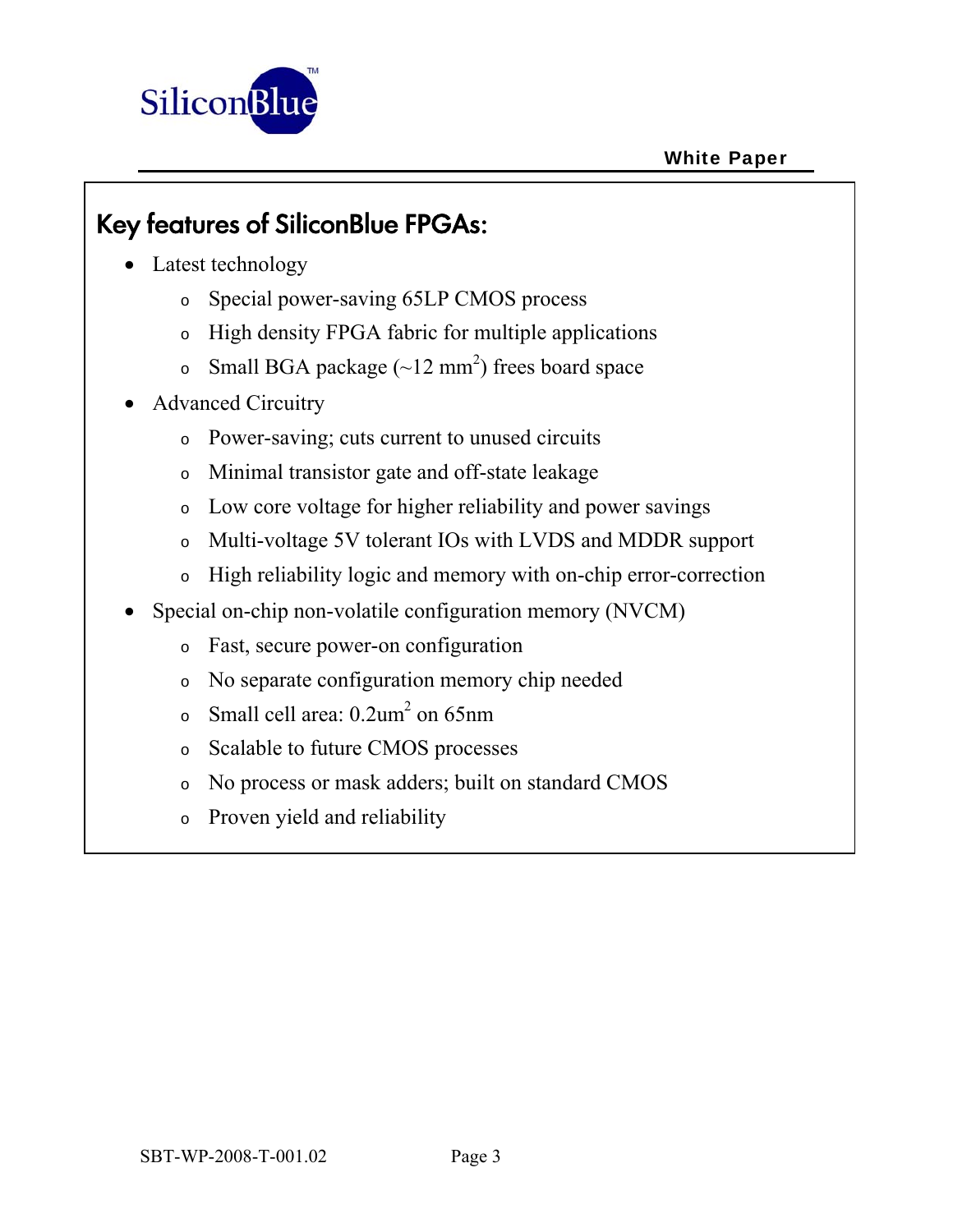

# Key features of SiliconBlue FPGAs:

- Latest technology
	- o Special power-saving 65LP CMOS process
	- o High density FPGA fabric for multiple applications
	- $\circ$  Small BGA package (~12 mm<sup>2</sup>) frees board space
- Advanced Circuitry
	- o Power-saving; cuts current to unused circuits
	- o Minimal transistor gate and off-state leakage
	- o Low core voltage for higher reliability and power savings
	- o Multi-voltage 5V tolerant IOs with LVDS and MDDR support
	- o High reliability logic and memory with on-chip error-correction
- Special on-chip non-volatile configuration memory (NVCM)
	- o Fast, secure power-on configuration
	- o No separate configuration memory chip needed
	- $\circ$  Small cell area: 0.2um<sup>2</sup> on 65nm
	- o Scalable to future CMOS processes
	- o No process or mask adders; built on standard CMOS
	- o Proven yield and reliability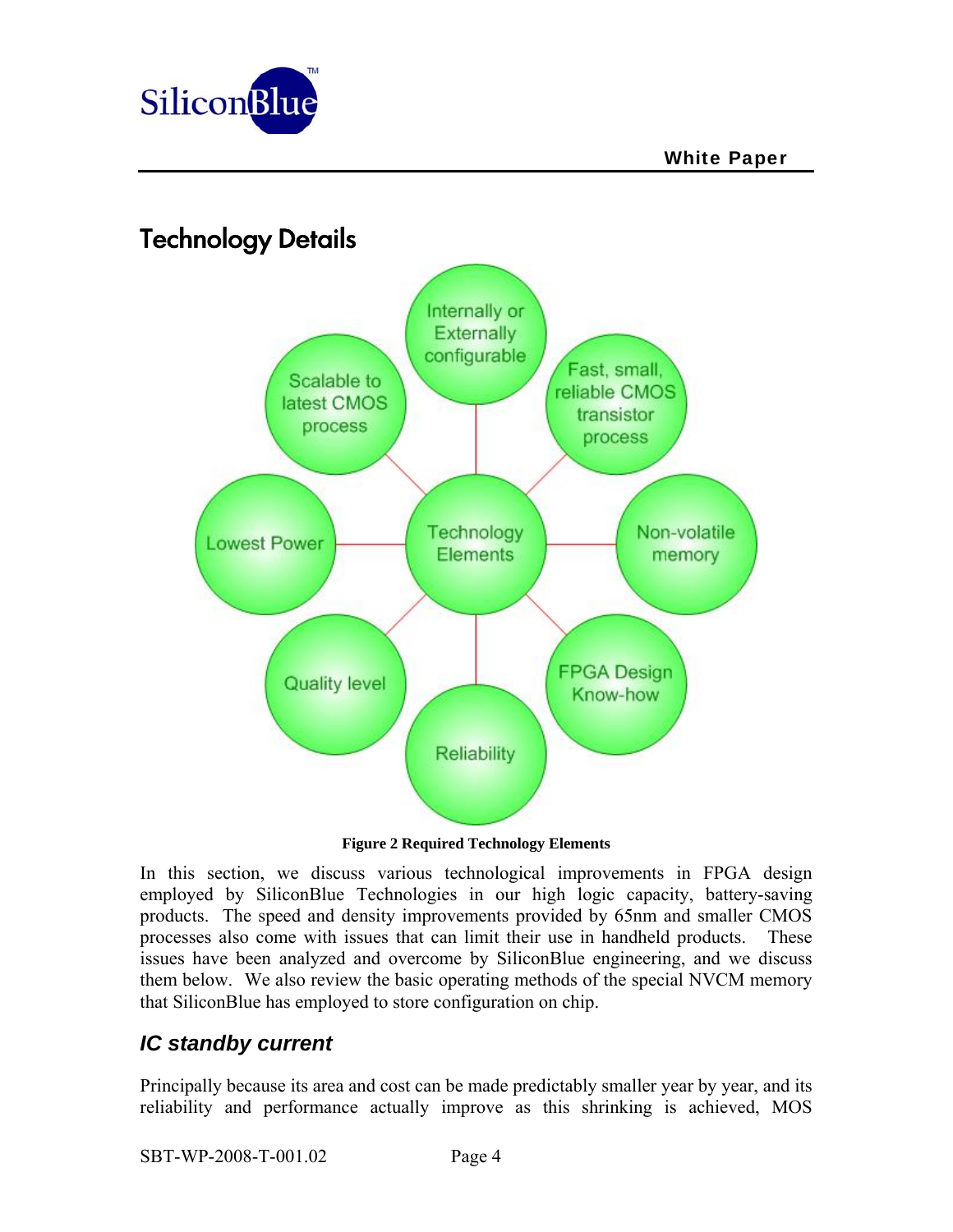

## Technology Details



**Figure 2 Required Technology Elements** 

In this section, we discuss various technological improvements in FPGA design employed by SiliconBlue Technologies in our high logic capacity, battery-saving products. The speed and density improvements provided by 65nm and smaller CMOS processes also come with issues that can limit their use in handheld products. These issues have been analyzed and overcome by SiliconBlue engineering, and we discuss them below.We also review the basic operating methods of the special NVCM memory that SiliconBlue has employed to store configuration on chip.

## *IC standby current*

Principally because its area and cost can be made predictably smaller year by year, and its reliability and performance actually improve as this shrinking is achieved, MOS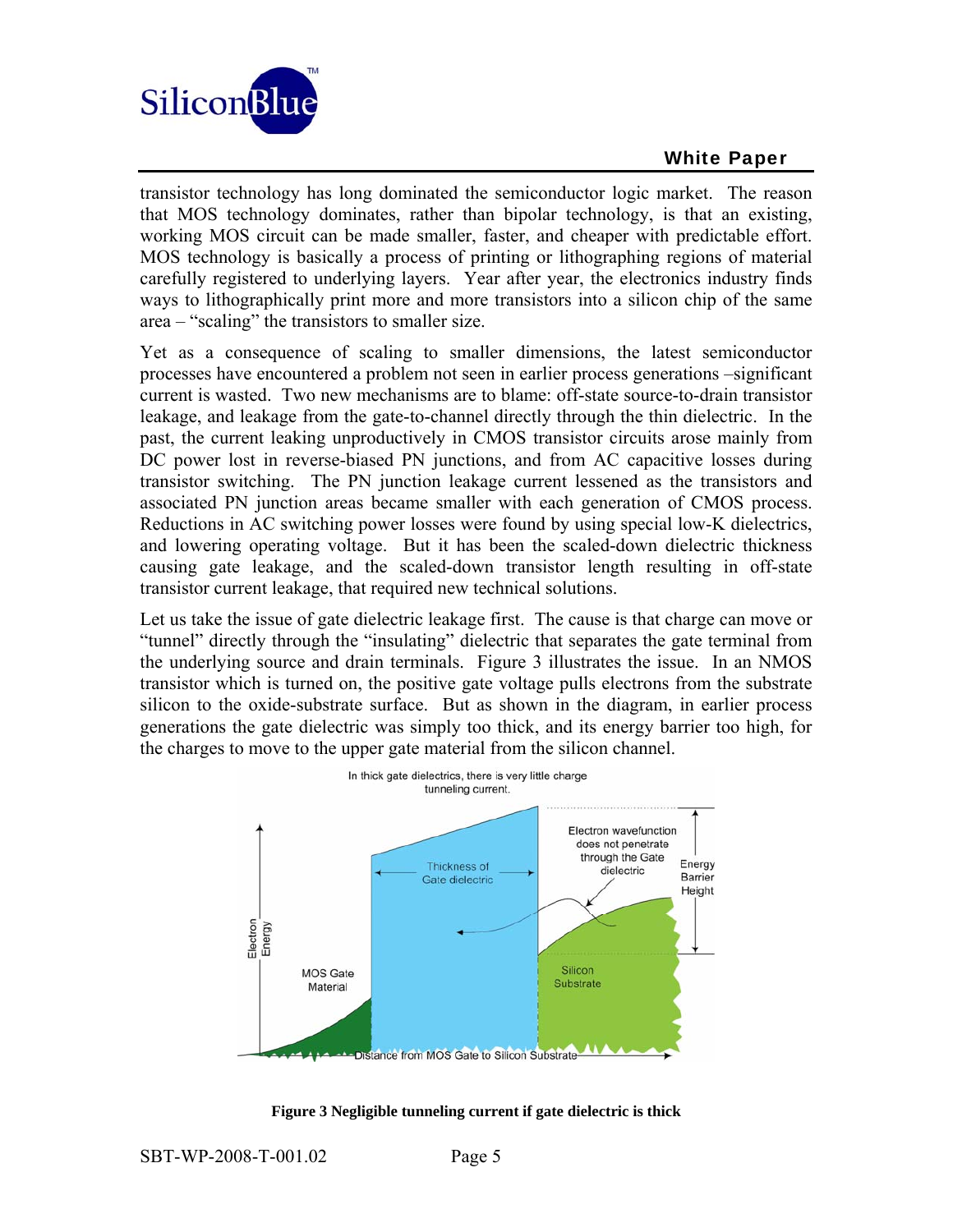

transistor technology has long dominated the semiconductor logic market. The reason that MOS technology dominates, rather than bipolar technology, is that an existing, working MOS circuit can be made smaller, faster, and cheaper with predictable effort. MOS technology is basically a process of printing or lithographing regions of material carefully registered to underlying layers. Year after year, the electronics industry finds ways to lithographically print more and more transistors into a silicon chip of the same area – "scaling" the transistors to smaller size.

Yet as a consequence of scaling to smaller dimensions, the latest semiconductor processes have encountered a problem not seen in earlier process generations –significant current is wasted. Two new mechanisms are to blame: off-state source-to-drain transistor leakage, and leakage from the gate-to-channel directly through the thin dielectric. In the past, the current leaking unproductively in CMOS transistor circuits arose mainly from DC power lost in reverse-biased PN junctions, and from AC capacitive losses during transistor switching. The PN junction leakage current lessened as the transistors and associated PN junction areas became smaller with each generation of CMOS process. Reductions in AC switching power losses were found by using special low-K dielectrics, and lowering operating voltage. But it has been the scaled-down dielectric thickness causing gate leakage, and the scaled-down transistor length resulting in off-state transistor current leakage, that required new technical solutions.

Let us take the issue of gate dielectric leakage first. The cause is that charge can move or "tunnel" directly through the "insulating" dielectric that separates the gate terminal from the underlying source and drain terminals. Figure 3 illustrates the issue. In an NMOS transistor which is turned on, the positive gate voltage pulls electrons from the substrate silicon to the oxide-substrate surface. But as shown in the diagram, in earlier process generations the gate dielectric was simply too thick, and its energy barrier too high, for the charges to move to the upper gate material from the silicon channel.



**Figure 3 Negligible tunneling current if gate dielectric is thick**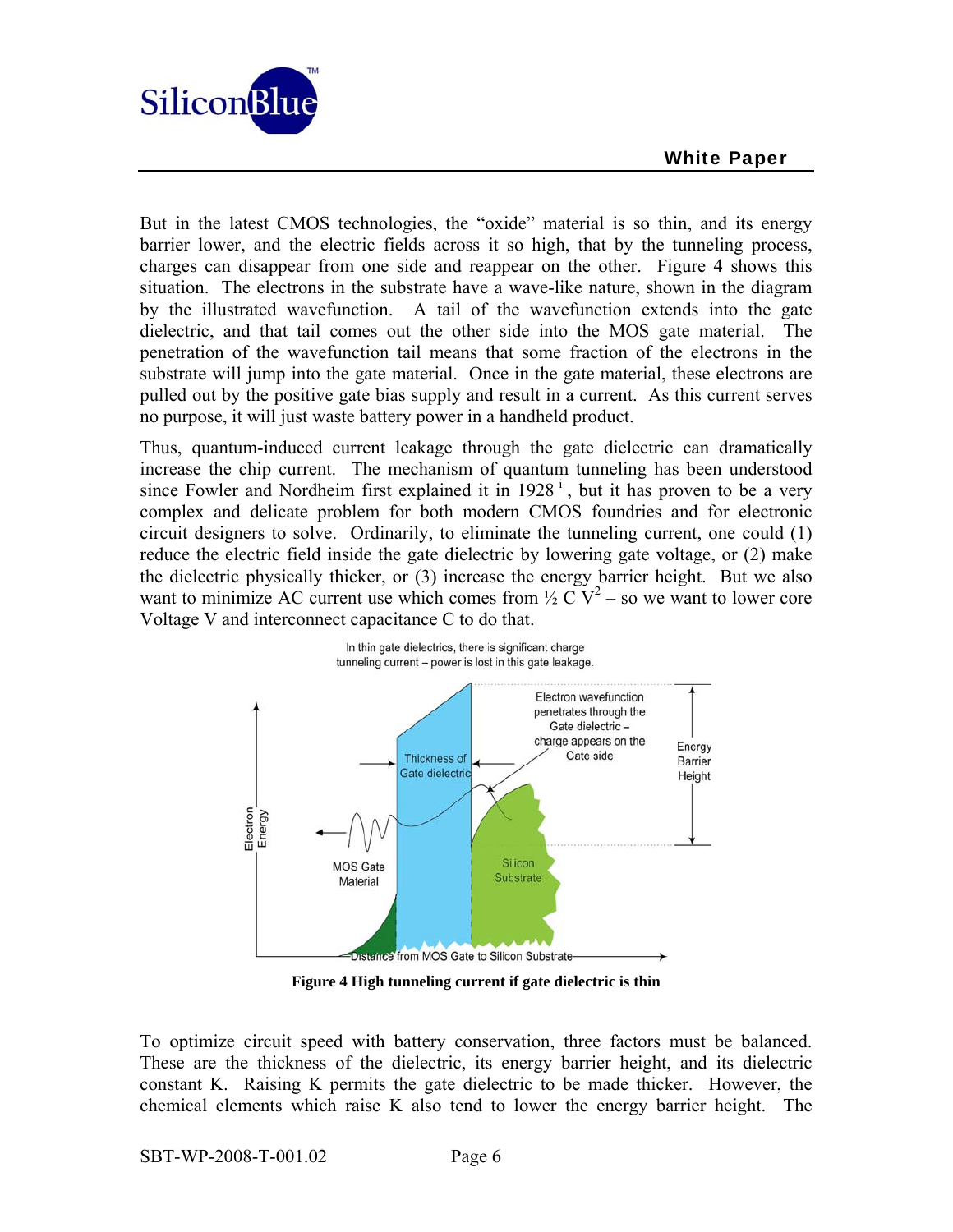

But in the latest CMOS technologies, the "oxide" material is so thin, and its energy barrier lower, and the electric fields across it so high, that by the tunneling process, charges can disappear from one side and reappear on the other. Figure 4 shows this situation. The electrons in the substrate have a wave-like nature, shown in the diagram by the illustrated wavefunction. A tail of the wavefunction extends into the gate dielectric, and that tail comes out the other side into the MOS gate material. The penetration of the wavefunction tail means that some fraction of the electrons in the substrate will jump into the gate material. Once in the gate material, these electrons are pulled out by the positive gate bias supply and result in a current. As this current serves no purpose, it will just waste battery power in a handheld product.

Thus, quantum-induced current leakage through the gate dielectric can dramatically increase the chip current. The mechanism of quantum tunneling has been understood since Fowler and Nordheim first explained it in  $1928^{\mathrm{i}}$ , but it has proven to be a very complex and delicate problem for both modern CMOS foundries and for electronic circuit designers to solve. Ordinarily, to eliminate the tunneling current, one could (1) reduce the electric field inside the gate dielectric by lowering gate voltage, or (2) make the dielectric physically thicker, or (3) increase the energy barrier height. But we also want to minimize AC current use which comes from  $\frac{1}{2}$  C V<sup>2</sup> – so we want to lower core Voltage V and interconnect capacitance C to do that.



**Figure 4 High tunneling current if gate dielectric is thin** 

To optimize circuit speed with battery conservation, three factors must be balanced. These are the thickness of the dielectric, its energy barrier height, and its dielectric constant K. Raising K permits the gate dielectric to be made thicker. However, the chemical elements which raise K also tend to lower the energy barrier height. The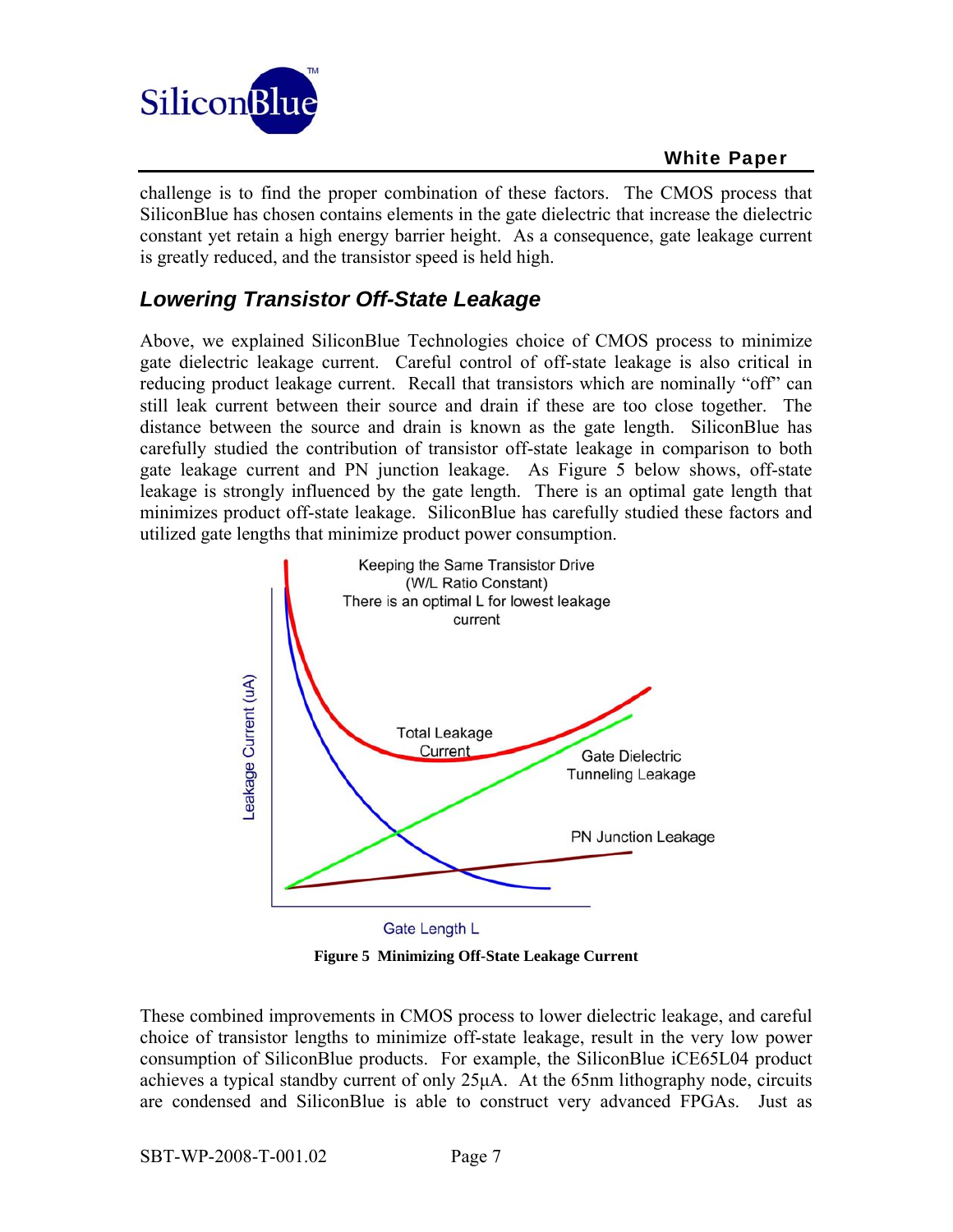

challenge is to find the proper combination of these factors. The CMOS process that SiliconBlue has chosen contains elements in the gate dielectric that increase the dielectric constant yet retain a high energy barrier height. As a consequence, gate leakage current is greatly reduced, and the transistor speed is held high.

### *Lowering Transistor Off-State Leakage*

Above, we explained SiliconBlue Technologies choice of CMOS process to minimize gate dielectric leakage current. Careful control of off-state leakage is also critical in reducing product leakage current. Recall that transistors which are nominally "off" can still leak current between their source and drain if these are too close together. The distance between the source and drain is known as the gate length. SiliconBlue has carefully studied the contribution of transistor off-state leakage in comparison to both gate leakage current and PN junction leakage. As Figure 5 below shows, off-state leakage is strongly influenced by the gate length. There is an optimal gate length that minimizes product off-state leakage. SiliconBlue has carefully studied these factors and utilized gate lengths that minimize product power consumption.



**Figure 5 Minimizing Off-State Leakage Current** 

These combined improvements in CMOS process to lower dielectric leakage, and careful choice of transistor lengths to minimize off-state leakage, result in the very low power consumption of SiliconBlue products. For example, the SiliconBlue iCE65L04 product achieves a typical standby current of only 25μA. At the 65nm lithography node, circuits are condensed and SiliconBlue is able to construct very advanced FPGAs. Just as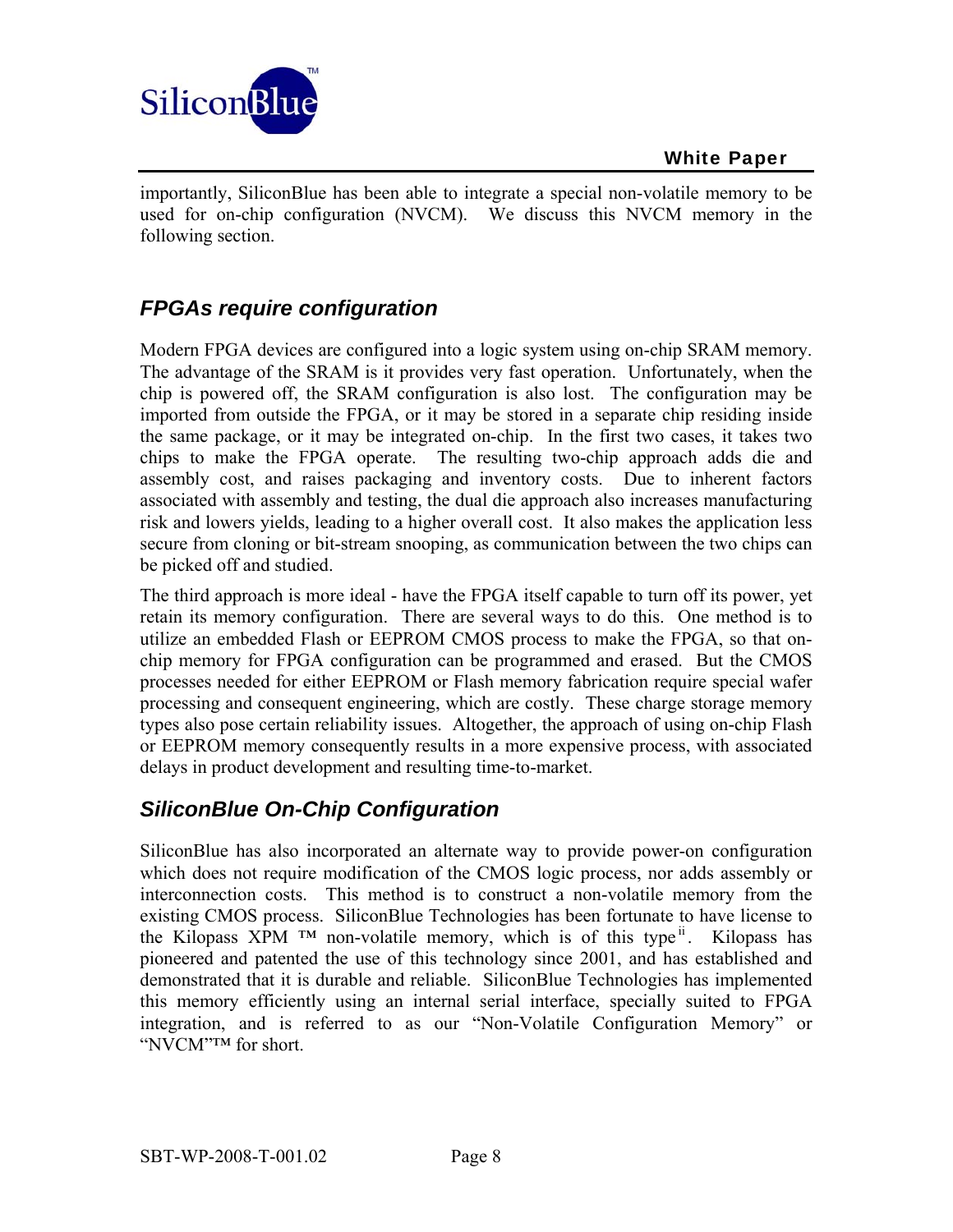

importantly, SiliconBlue has been able to integrate a special non-volatile memory to be used for on-chip configuration (NVCM). We discuss this NVCM memory in the following section.

## *FPGAs require configuration*

Modern FPGA devices are configured into a logic system using on-chip SRAM memory. The advantage of the SRAM is it provides very fast operation. Unfortunately, when the chip is powered off, the SRAM configuration is also lost. The configuration may be imported from outside the FPGA, or it may be stored in a separate chip residing inside the same package, or it may be integrated on-chip. In the first two cases, it takes two chips to make the FPGA operate. The resulting two-chip approach adds die and assembly cost, and raises packaging and inventory costs. Due to inherent factors associated with assembly and testing, the dual die approach also increases manufacturing risk and lowers yields, leading to a higher overall cost. It also makes the application less secure from cloning or bit-stream snooping, as communication between the two chips can be picked off and studied.

The third approach is more ideal - have the FPGA itself capable to turn off its power, yet retain its memory configuration. There are several ways to do this. One method is to utilize an embedded Flash or EEPROM CMOS process to make the FPGA, so that onchip memory for FPGA configuration can be programmed and erased. But the CMOS processes needed for either EEPROM or Flash memory fabrication require special wafer processing and consequent engineering, which are costly. These charge storage memory types also pose certain reliability issues. Altogether, the approach of using on-chip Flash or EEPROM memory consequently results in a more expensive process, with associated delays in product development and resulting time-to-market.

## *SiliconBlue On-Chip Configuration*

SiliconBlue has also incorporated an alternate way to provide power-on configuration which does not require modification of the CMOS logic process, nor adds assembly or interconnection costs. This method is to construct a non-volatile memory from the existing CMOS process. SiliconBlue Technologies has been fortunate to have license to the Kilopass XPM <sup>™</sup> non-volatile memory, which is of this type<sup>ii</sup>. Kilopass has pioneered and patented the use of this technology since 2001, and has established and demonstrated that it is durable and reliable. SiliconBlue Technologies has implemented this memory efficiently using an internal serial interface, specially suited to FPGA integration, and is referred to as our "Non-Volatile Configuration Memory" or "NVCM"™ for short.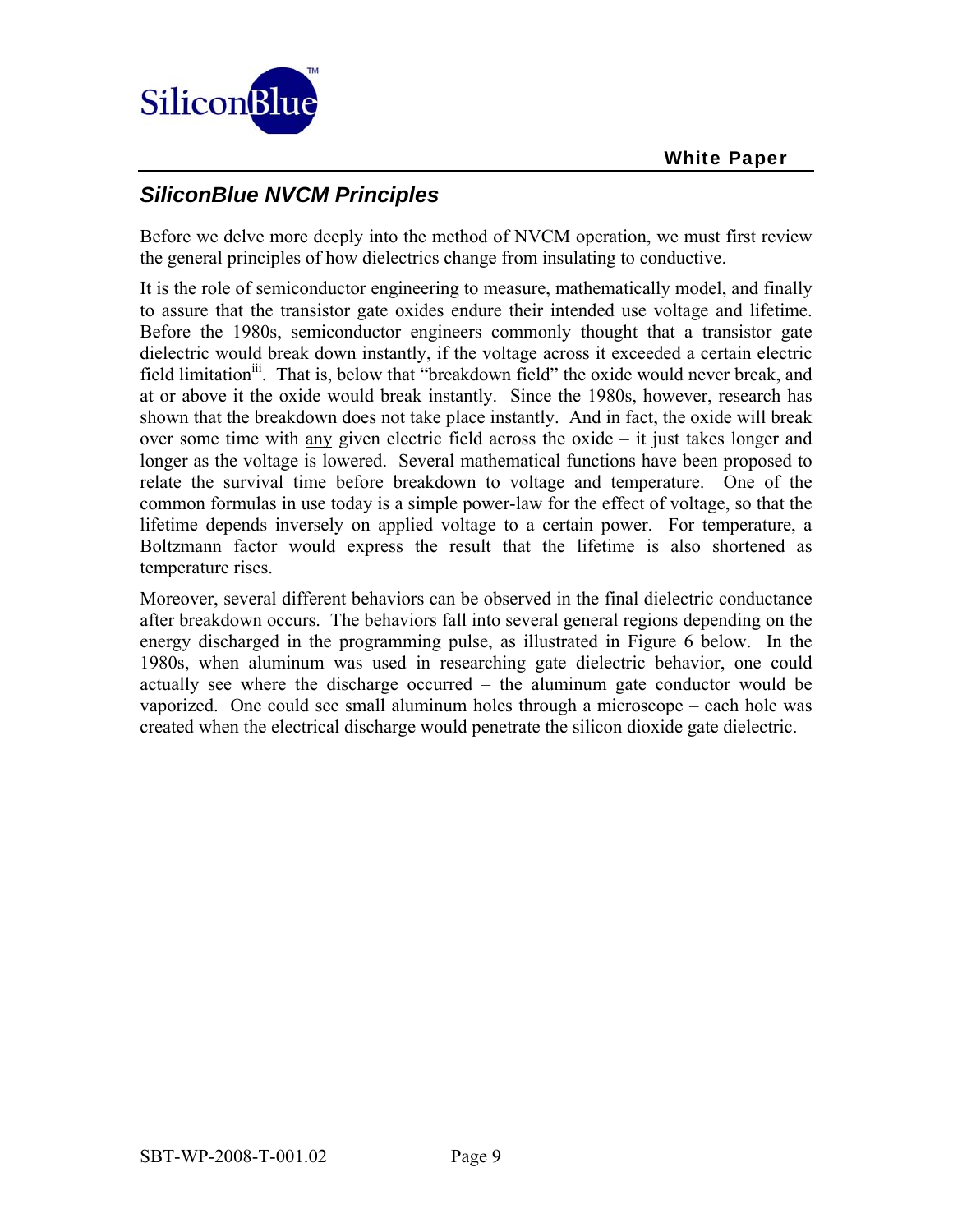

### *SiliconBlue NVCM Principles*

Before we delve more deeply into the method of NVCM operation, we must first review the general principles of how dielectrics change from insulating to conductive.

It is the role of semiconductor engineering to measure, mathematically model, and finally to assure that the transistor gate oxides endure their intended use voltage and lifetime. Before the 1980s, semiconductor engineers commonly thought that a transistor gate dielectric would break down instantly, if the voltage across it exceeded a certain electric field limitation<sup>iii</sup>. That is, below that "breakdown field" the oxide would never break, and at or above it the oxide would break instantly. Since the 1980s, however, research has shown that the breakdown does not take place instantly. And in fact, the oxide will break over some time with any given electric field across the oxide  $-$  it just takes longer and longer as the voltage is lowered. Several mathematical functions have been proposed to relate the survival time before breakdown to voltage and temperature. One of the common formulas in use today is a simple power-law for the effect of voltage, so that the lifetime depends inversely on applied voltage to a certain power. For temperature, a Boltzmann factor would express the result that the lifetime is also shortened as temperature rises.

Moreover, several different behaviors can be observed in the final dielectric conductance after breakdown occurs. The behaviors fall into several general regions depending on the energy discharged in the programming pulse, as illustrated in Figure 6 below. In the 1980s, when aluminum was used in researching gate dielectric behavior, one could actually see where the discharge occurred – the aluminum gate conductor would be vaporized. One could see small aluminum holes through a microscope – each hole was created when the electrical discharge would penetrate the silicon dioxide gate dielectric.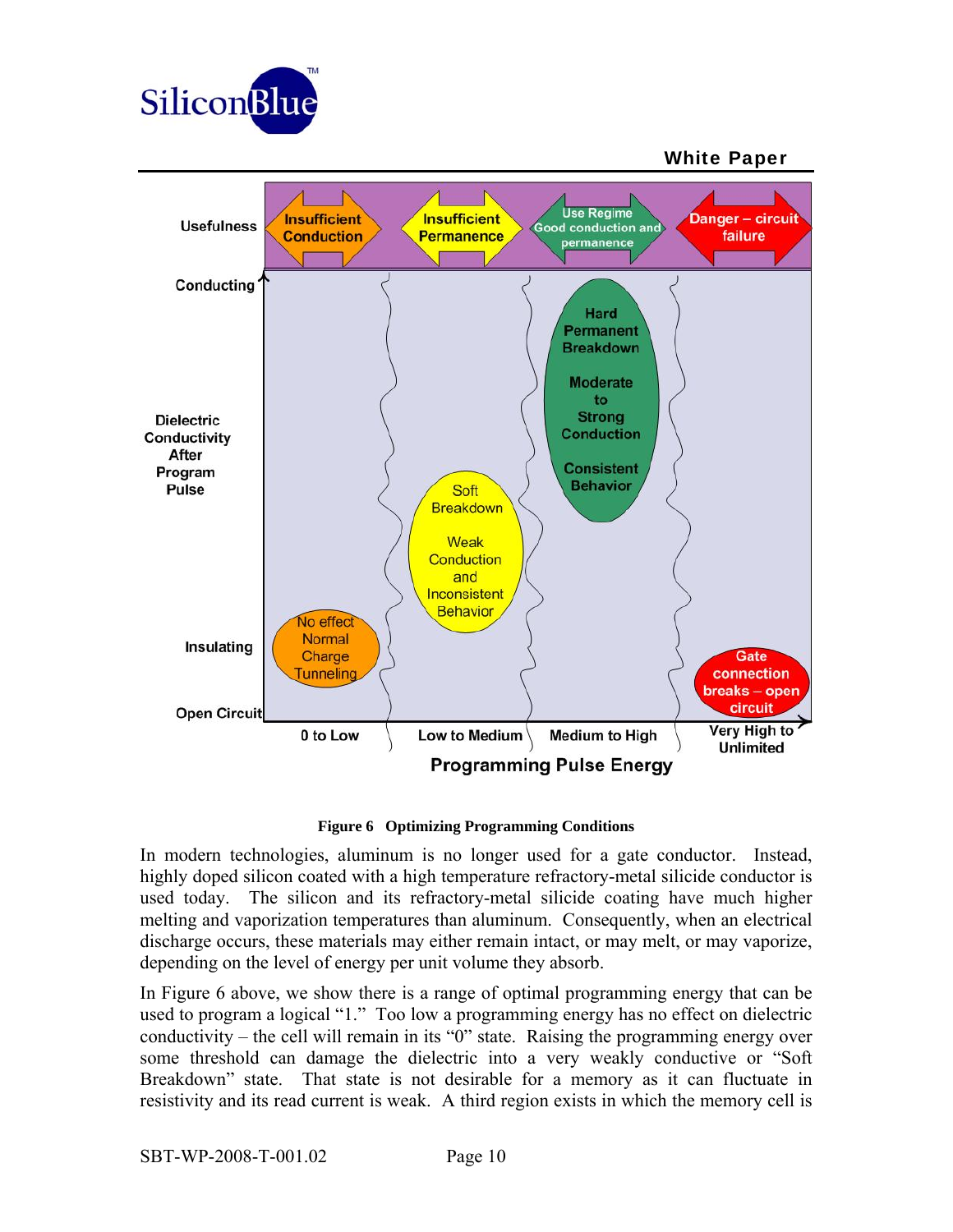



#### **Figure 6 Optimizing Programming Conditions**

In modern technologies, aluminum is no longer used for a gate conductor. Instead, highly doped silicon coated with a high temperature refractory-metal silicide conductor is used today. The silicon and its refractory-metal silicide coating have much higher melting and vaporization temperatures than aluminum. Consequently, when an electrical discharge occurs, these materials may either remain intact, or may melt, or may vaporize, depending on the level of energy per unit volume they absorb.

In Figure 6 above, we show there is a range of optimal programming energy that can be used to program a logical "1." Too low a programming energy has no effect on dielectric conductivity – the cell will remain in its "0" state. Raising the programming energy over some threshold can damage the dielectric into a very weakly conductive or "Soft Breakdown" state. That state is not desirable for a memory as it can fluctuate in resistivity and its read current is weak. A third region exists in which the memory cell is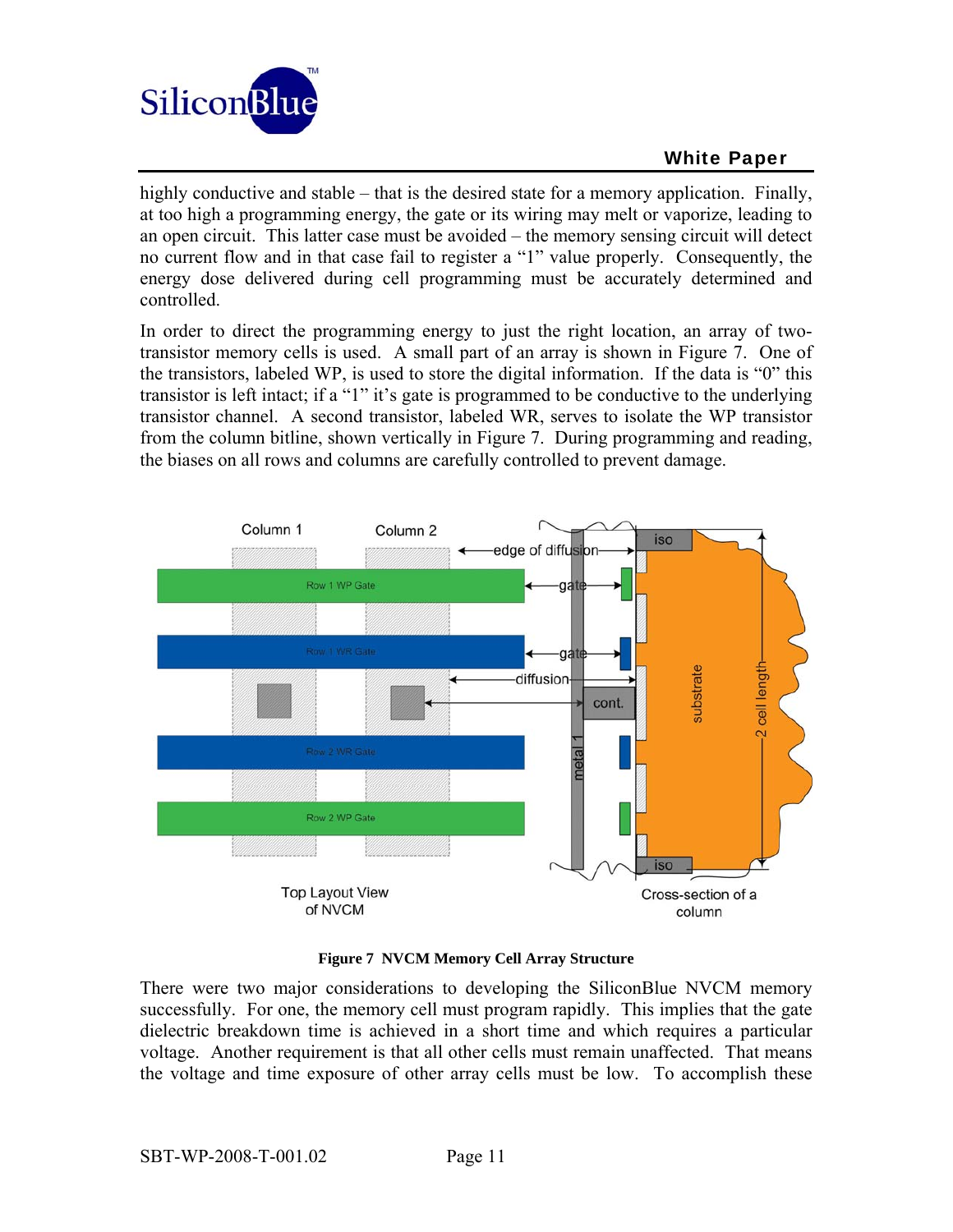

highly conductive and stable – that is the desired state for a memory application. Finally, at too high a programming energy, the gate or its wiring may melt or vaporize, leading to an open circuit. This latter case must be avoided – the memory sensing circuit will detect no current flow and in that case fail to register a "1" value properly. Consequently, the energy dose delivered during cell programming must be accurately determined and controlled.

In order to direct the programming energy to just the right location, an array of twotransistor memory cells is used. A small part of an array is shown in Figure 7. One of the transistors, labeled WP, is used to store the digital information. If the data is "0" this transistor is left intact; if a "1" it's gate is programmed to be conductive to the underlying transistor channel. A second transistor, labeled WR, serves to isolate the WP transistor from the column bitline, shown vertically in Figure 7. During programming and reading, the biases on all rows and columns are carefully controlled to prevent damage.



#### **Figure 7 NVCM Memory Cell Array Structure**

There were two major considerations to developing the SiliconBlue NVCM memory successfully. For one, the memory cell must program rapidly. This implies that the gate dielectric breakdown time is achieved in a short time and which requires a particular voltage. Another requirement is that all other cells must remain unaffected. That means the voltage and time exposure of other array cells must be low. To accomplish these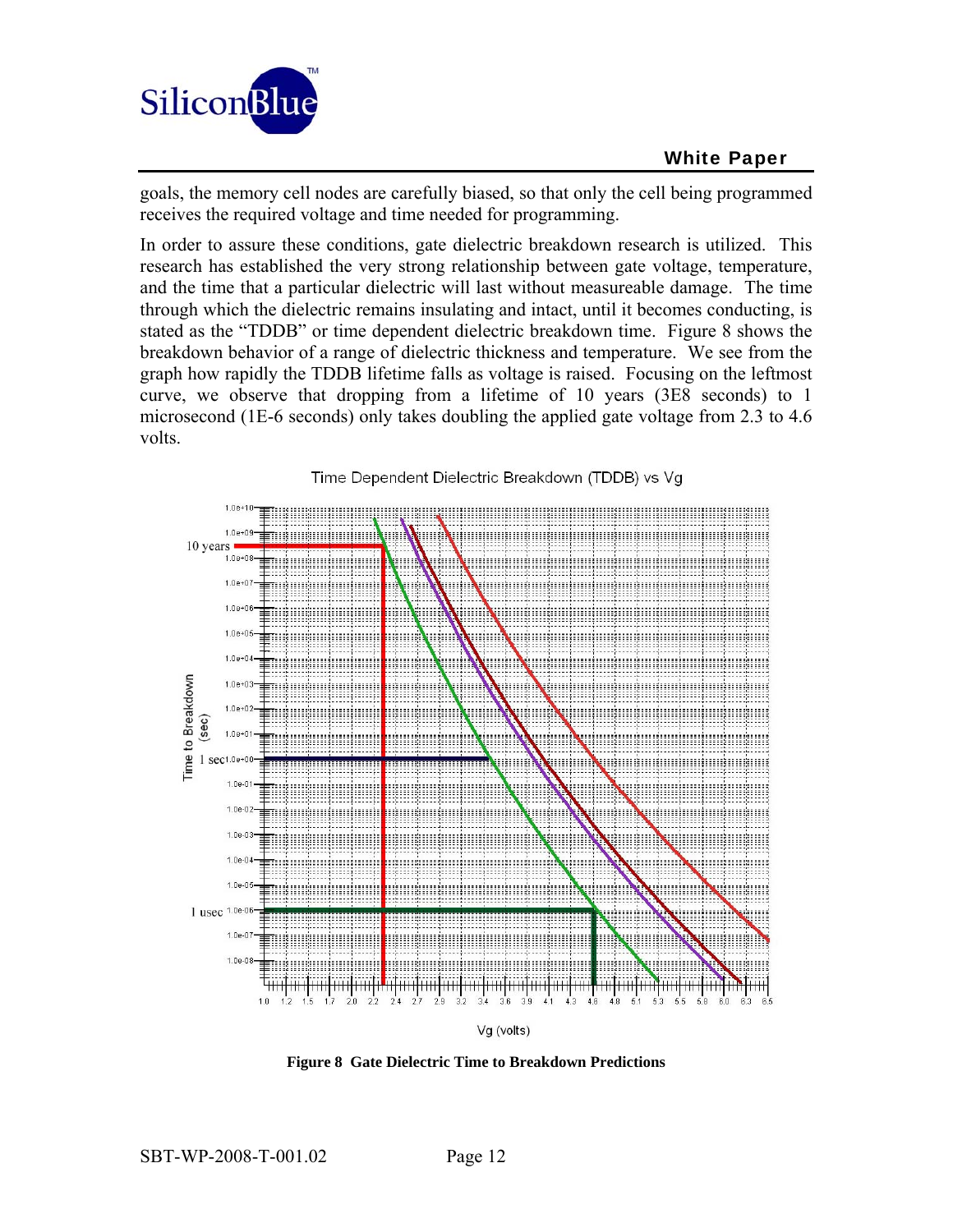

goals, the memory cell nodes are carefully biased, so that only the cell being programmed receives the required voltage and time needed for programming.

In order to assure these conditions, gate dielectric breakdown research is utilized. This research has established the very strong relationship between gate voltage, temperature, and the time that a particular dielectric will last without measureable damage. The time through which the dielectric remains insulating and intact, until it becomes conducting, is stated as the "TDDB" or time dependent dielectric breakdown time. Figure 8 shows the breakdown behavior of a range of dielectric thickness and temperature. We see from the graph how rapidly the TDDB lifetime falls as voltage is raised. Focusing on the leftmost curve, we observe that dropping from a lifetime of 10 years (3E8 seconds) to 1 microsecond (1E-6 seconds) only takes doubling the applied gate voltage from 2.3 to 4.6 volts.



Vg (volts)

**Figure 8 Gate Dielectric Time to Breakdown Predictions**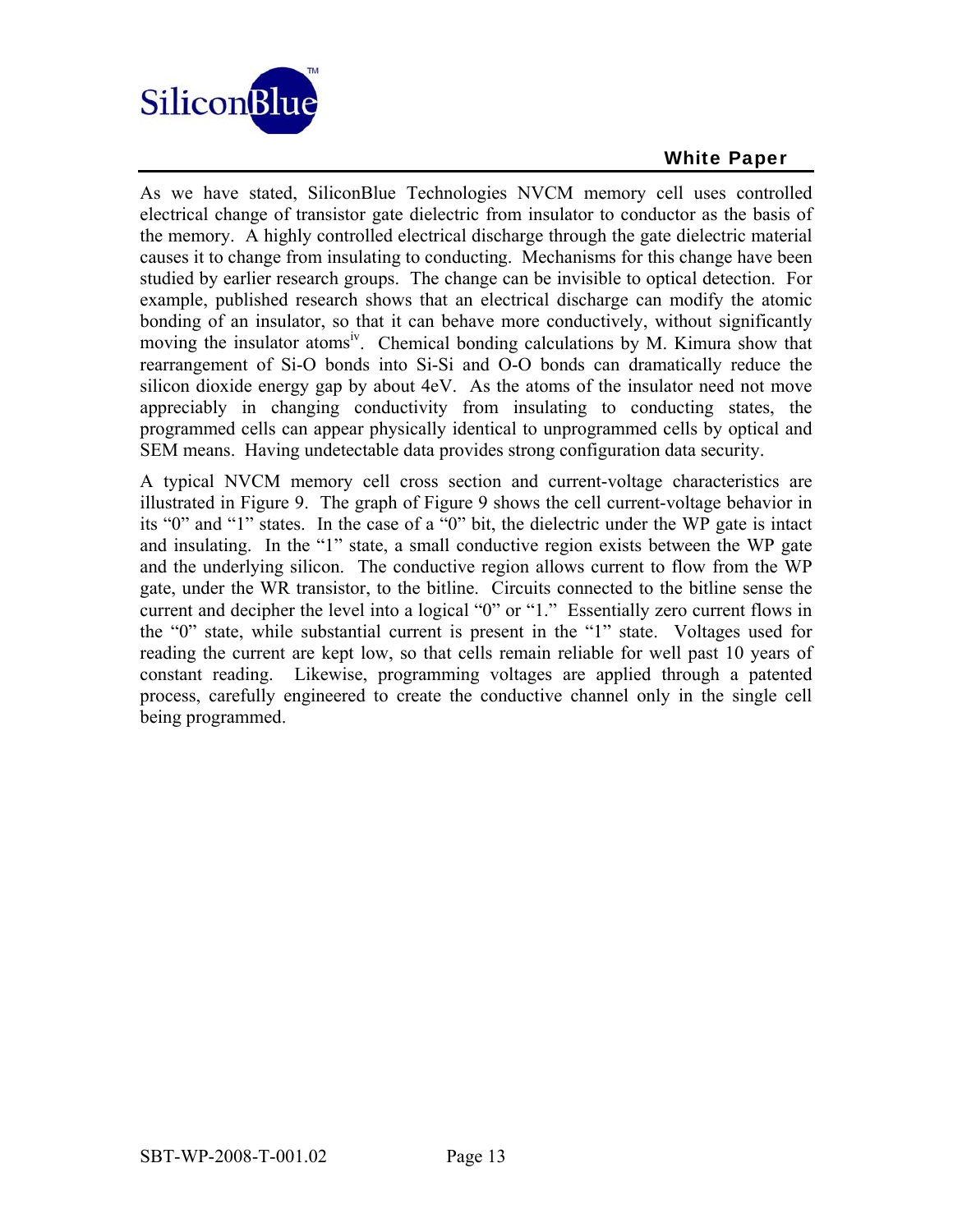

As we have stated, SiliconBlue Technologies NVCM memory cell uses controlled electrical change of transistor gate dielectric from insulator to conductor as the basis of the memory. A highly controlled electrical discharge through the gate dielectric material causes it to change from insulating to conducting. Mechanisms for this change have been studied by earlier research groups. The change can be invisible to optical detection. For example, published research shows that an electrical discharge can modify the atomic bonding of an insulator, so that it can behave more conductively, without significantly moving the insulator atoms<sup>iv</sup>. Chemical bonding calculations by M. Kimura show that rearrangement of Si-O bonds into Si-Si and O-O bonds can dramatically reduce the silicon dioxide energy gap by about 4eV. As the atoms of the insulator need not move appreciably in changing conductivity from insulating to conducting states, the programmed cells can appear physically identical to unprogrammed cells by optical and SEM means. Having undetectable data provides strong configuration data security.

A typical NVCM memory cell cross section and current-voltage characteristics are illustrated in Figure 9. The graph of Figure 9 shows the cell current-voltage behavior in its "0" and "1" states. In the case of a "0" bit, the dielectric under the WP gate is intact and insulating. In the "1" state, a small conductive region exists between the WP gate and the underlying silicon. The conductive region allows current to flow from the WP gate, under the WR transistor, to the bitline. Circuits connected to the bitline sense the current and decipher the level into a logical "0" or "1." Essentially zero current flows in the "0" state, while substantial current is present in the "1" state. Voltages used for reading the current are kept low, so that cells remain reliable for well past 10 years of constant reading. Likewise, programming voltages are applied through a patented process, carefully engineered to create the conductive channel only in the single cell being programmed.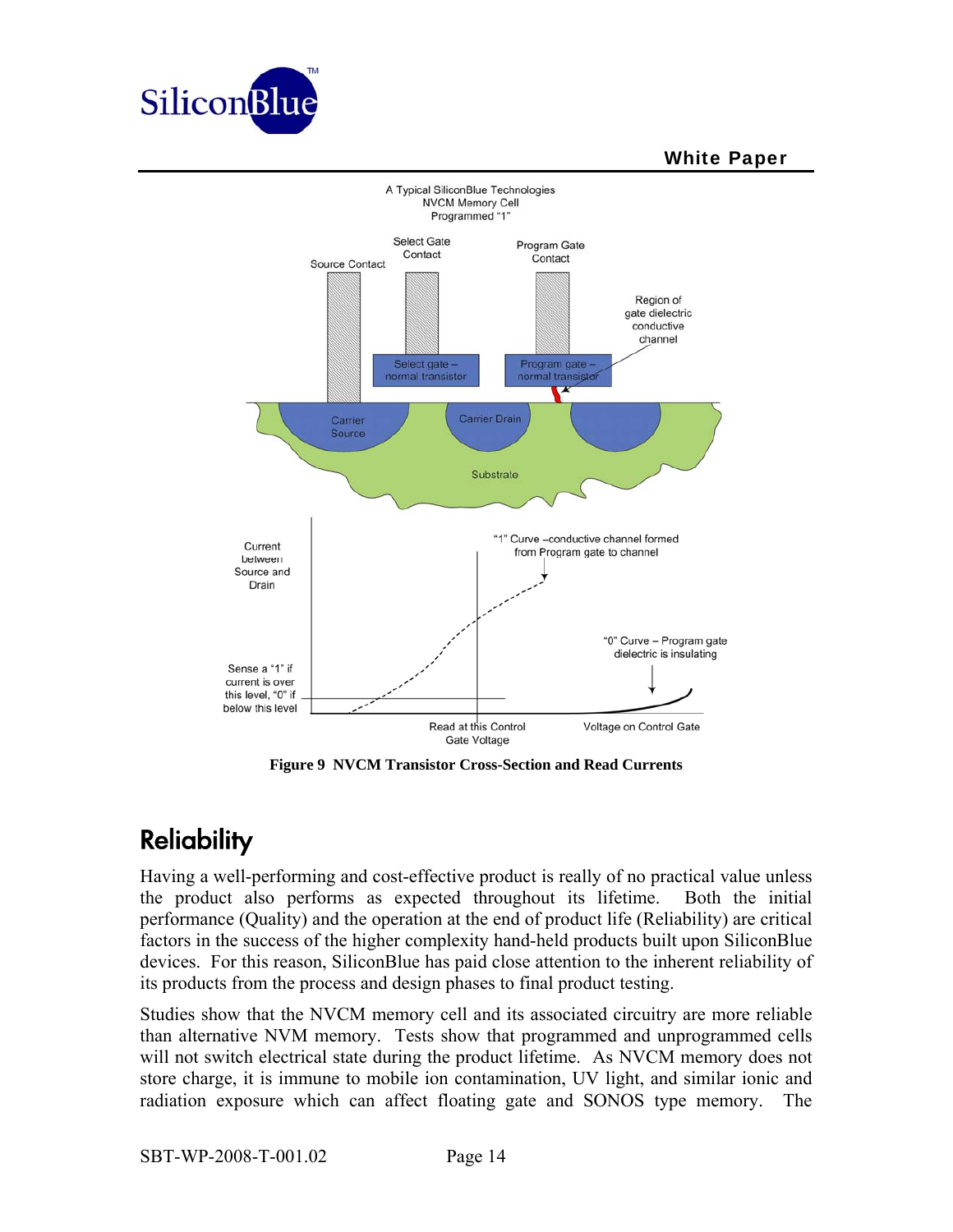



**Figure 9 NVCM Transistor Cross-Section and Read Currents** 

# **Reliability**

Having a well-performing and cost-effective product is really of no practical value unless the product also performs as expected throughout its lifetime. Both the initial performance (Quality) and the operation at the end of product life (Reliability) are critical factors in the success of the higher complexity hand-held products built upon SiliconBlue devices. For this reason, SiliconBlue has paid close attention to the inherent reliability of its products from the process and design phases to final product testing.

Studies show that the NVCM memory cell and its associated circuitry are more reliable than alternative NVM memory. Tests show that programmed and unprogrammed cells will not switch electrical state during the product lifetime. As NVCM memory does not store charge, it is immune to mobile ion contamination, UV light, and similar ionic and radiation exposure which can affect floating gate and SONOS type memory. The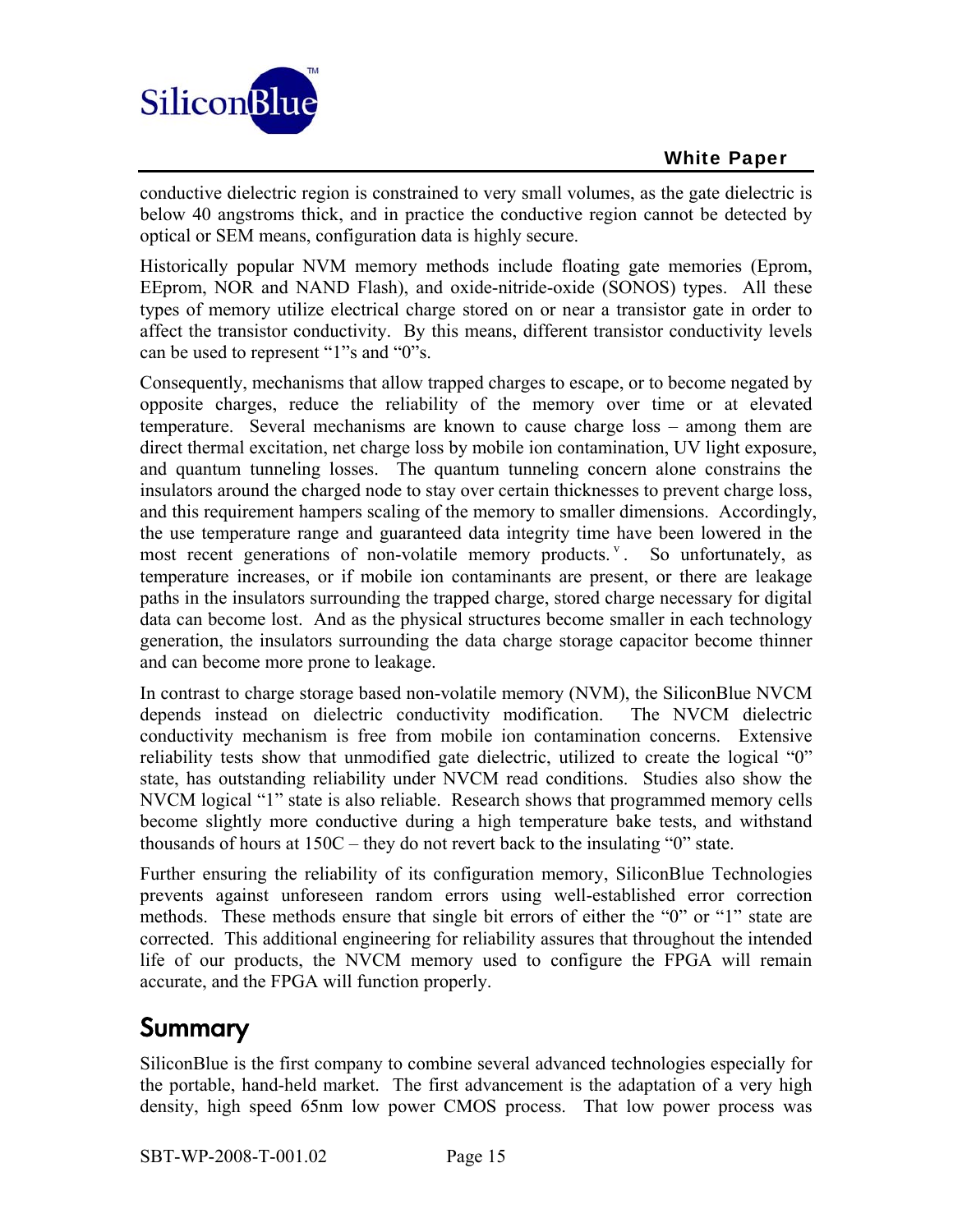

conductive dielectric region is constrained to very small volumes, as the gate dielectric is below 40 angstroms thick, and in practice the conductive region cannot be detected by optical or SEM means, configuration data is highly secure.

Historically popular NVM memory methods include floating gate memories (Eprom, EEprom, NOR and NAND Flash), and oxide-nitride-oxide (SONOS) types. All these types of memory utilize electrical charge stored on or near a transistor gate in order to affect the transistor conductivity. By this means, different transistor conductivity levels can be used to represent "1"s and "0"s.

Consequently, mechanisms that allow trapped charges to escape, or to become negated by opposite charges, reduce the reliability of the memory over time or at elevated temperature. Several mechanisms are known to cause charge loss – among them are direct thermal excitation, net charge loss by mobile ion contamination, UV light exposure, and quantum tunneling losses. The quantum tunneling concern alone constrains the insulators around the charged node to stay over certain thicknesses to prevent charge loss, and this requirement hampers scaling of the memory to smaller dimensions. Accordingly, the use temperature range and guaranteed data integrity time have been lowered in the most recent generations of non-volatile memory products. <sup>v</sup>. So unfortunately, as temperature increases, or if mobile ion contaminants are present, or there are leakage paths in the insulators surrounding the trapped charge, stored charge necessary for digital data can become lost. And as the physical structures become smaller in each technology generation, the insulators surrounding the data charge storage capacitor become thinner and can become more prone to leakage.

In contrast to charge storage based non-volatile memory (NVM), the SiliconBlue NVCM depends instead on dielectric conductivity modification. The NVCM dielectric conductivity mechanism is free from mobile ion contamination concerns. Extensive reliability tests show that unmodified gate dielectric, utilized to create the logical "0" state, has outstanding reliability under NVCM read conditions. Studies also show the NVCM logical "1" state is also reliable. Research shows that programmed memory cells become slightly more conductive during a high temperature bake tests, and withstand thousands of hours at 150C – they do not revert back to the insulating "0" state.

Further ensuring the reliability of its configuration memory, SiliconBlue Technologies prevents against unforeseen random errors using well-established error correction methods. These methods ensure that single bit errors of either the "0" or "1" state are corrected. This additional engineering for reliability assures that throughout the intended life of our products, the NVCM memory used to configure the FPGA will remain accurate, and the FPGA will function properly.

# Summary

SiliconBlue is the first company to combine several advanced technologies especially for the portable, hand-held market. The first advancement is the adaptation of a very high density, high speed 65nm low power CMOS process. That low power process was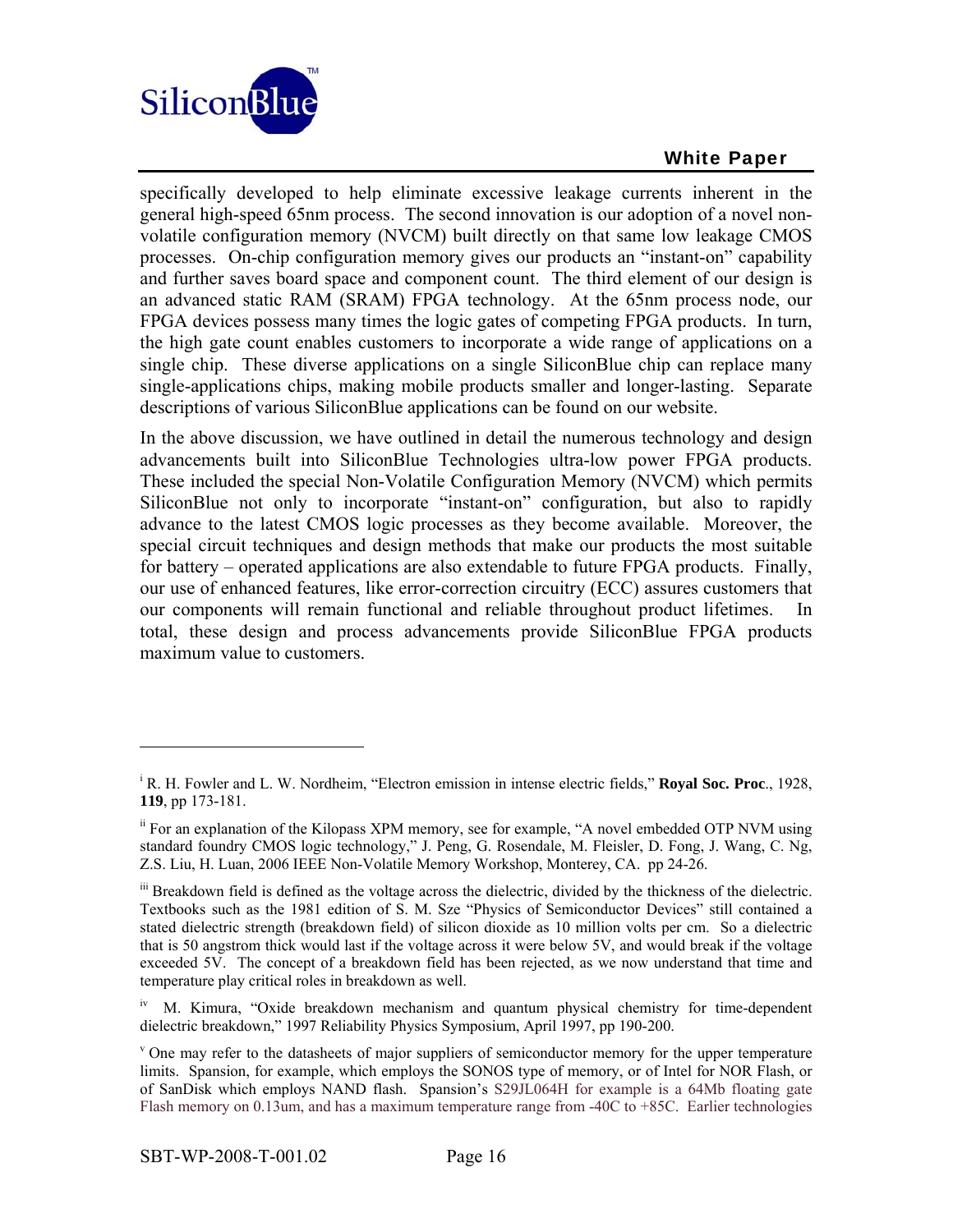

specifically developed to help eliminate excessive leakage currents inherent in the general high-speed 65nm process. The second innovation is our adoption of a novel nonvolatile configuration memory (NVCM) built directly on that same low leakage CMOS processes. On-chip configuration memory gives our products an "instant-on" capability and further saves board space and component count. The third element of our design is an advanced static RAM (SRAM) FPGA technology. At the 65nm process node, our FPGA devices possess many times the logic gates of competing FPGA products. In turn, the high gate count enables customers to incorporate a wide range of applications on a single chip. These diverse applications on a single SiliconBlue chip can replace many single-applications chips, making mobile products smaller and longer-lasting. Separate descriptions of various SiliconBlue applications can be found on our website.

In the above discussion, we have outlined in detail the numerous technology and design advancements built into SiliconBlue Technologies ultra-low power FPGA products. These included the special Non-Volatile Configuration Memory (NVCM) which permits SiliconBlue not only to incorporate "instant-on" configuration, but also to rapidly advance to the latest CMOS logic processes as they become available. Moreover, the special circuit techniques and design methods that make our products the most suitable for battery – operated applications are also extendable to future FPGA products. Finally, our use of enhanced features, like error-correction circuitry (ECC) assures customers that our components will remain functional and reliable throughout product lifetimes. In total, these design and process advancements provide SiliconBlue FPGA products maximum value to customers.

 $\overline{a}$ 

i R. H. Fowler and L. W. Nordheim, "Electron emission in intense electric fields," **Royal Soc. Proc**., 1928, **119**, pp 173-181.

ii For an explanation of the Kilopass XPM memory, see for example, "A novel embedded OTP NVM using standard foundry CMOS logic technology," J. Peng, G. Rosendale, M. Fleisler, D. Fong, J. Wang, C. Ng, Z.S. Liu, H. Luan, 2006 IEEE Non-Volatile Memory Workshop, Monterey, CA. pp 24-26.

iii Breakdown field is defined as the voltage across the dielectric, divided by the thickness of the dielectric. Textbooks such as the 1981 edition of S. M. Sze "Physics of Semiconductor Devices" still contained a stated dielectric strength (breakdown field) of silicon dioxide as 10 million volts per cm. So a dielectric that is 50 angstrom thick would last if the voltage across it were below 5V, and would break if the voltage exceeded 5V. The concept of a breakdown field has been rejected, as we now understand that time and temperature play critical roles in breakdown as well.

<sup>&</sup>lt;sup>iv</sup> M. Kimura, "Oxide breakdown mechanism and quantum physical chemistry for time-dependent dielectric breakdown," 1997 Reliability Physics Symposium, April 1997, pp 190-200.

<sup>&</sup>lt;sup>v</sup> One may refer to the datasheets of major suppliers of semiconductor memory for the upper temperature limits. Spansion, for example, which employs the SONOS type of memory, or of Intel for NOR Flash, or of SanDisk which employs NAND flash. Spansion's S29JL064H for example is a 64Mb floating gate Flash memory on 0.13um, and has a maximum temperature range from -40C to +85C. Earlier technologies